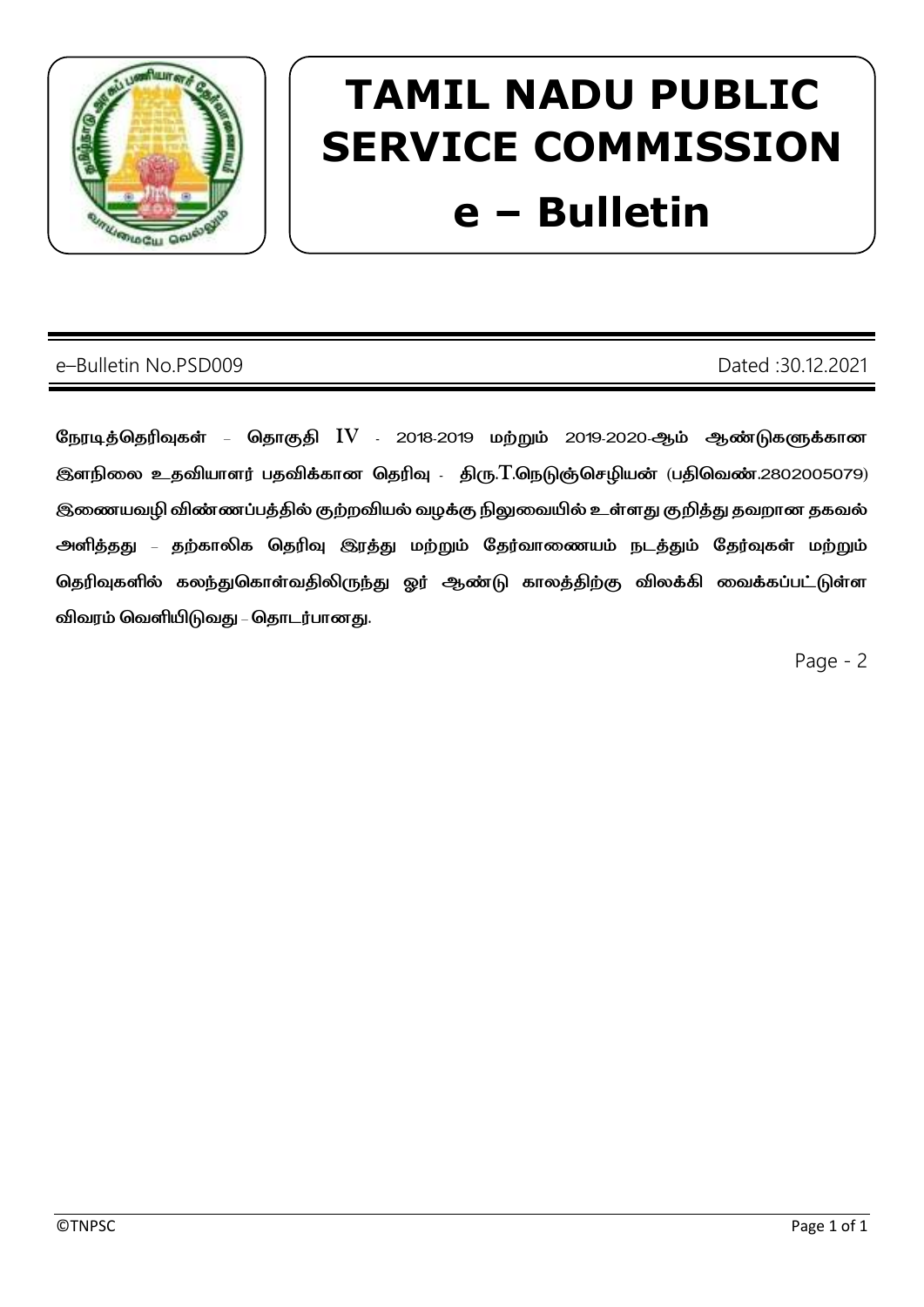

# **TAMIL NADU PUBLIC SERVICE COMMISSION** e - Bulletin

## e-Bulletin No.PSD009

## Dated: 30.12.2021

நேரடித்தெரிவுகள் – தொகுதி IV - 2018-2019 மற்றும் 2019-2020-ஆம் ஆண்டுகளுக்கான இளநிலை உதவியாளர் பதவிக்கான தெரிவு . திரு.T.நெடுஞ்செழியன் (பதிவெண்.2802005079) இணையவழி விண்ணப்பத்தில் குற்றவியல் வழக்கு நிலுவையில் உள்ளது குறித்து தவறான தகவல் அளித்தது – தற்காலிக தெரிவு இரத்து மற்றும் தேர்வாணையம் நடத்தும் தேர்வுகள் மற்றும் தெரிவுகளில் கலந்துகொள்வதிலிருந்து ஓர் ஆண்டு காலத்திற்கு விலக்கி வைக்கப்பட்டுள்ள விவரம் வெளியிடுவது – தொடர்பானது.

Page - 2